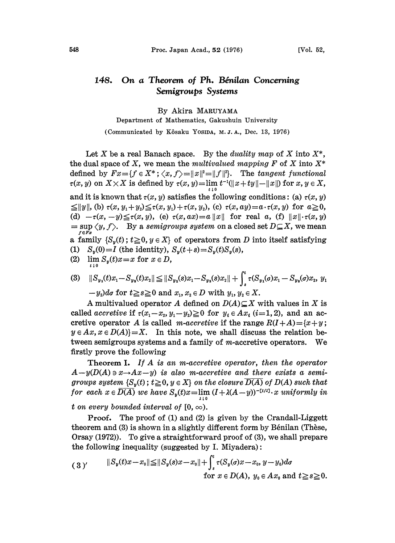## 148. On a Theorem of Ph. Bénilan Concerning Semigroups Systems

## By Akira MARUYAMA

Department of Mathematics, Gakushuin University (Communicated by Kôsaku Yosipa, M.J.A., Dec. 13, 1976)

Let X be a real Banach space. By the *duality map* of X into  $X^*$ , the dual space of X, we mean the multivalued mapping F of X into  $X^*$ defined by  $Fx = \{f \in X^*; \langle x, f \rangle = ||x||^2 = ||f||^2\}$ . The tangent functional  $\tau(x, y)$  on  $X \times X$  is defined by  $\tau(x, y) = \lim_{x \to 0} t^{-1}(\Vert x + ty \Vert - \Vert x \Vert)$  for  $x, y \in X$ , and it is known that  $\tau(x, y)$  satisfies the following conditions: (a)  $\tau(x, y)$  $\leq ||y||$ , (b)  $\tau(x, y_1+y_2) \leq \tau(x, y_1)+\tau(x, y_2)$ , (c)  $\tau(x, ay)=a\cdot\tau(x, y)$  for  $a\geq 0$ , (d)  $-\tau(x, -y) \leq \tau(x, y)$ , (e)  $\tau(x, ax) = a ||x||$  for real a, (f)  $||x|| \cdot \tau(x, y)$  $\langle x, y \rangle$  (x, f). By a semigroups system on a closed set  $D \subseteq X$ , we mean  $\langle y, f \rangle$ . By a semigroups system on a closed set  $D \subseteq X$ , we mean  $f \in \overline{F_x}$  is  $f \in \overline{S_y(t)}$ ;  $t \ge 0, y \in X$  of operators from D into itself satisfying (1)  $S_y(0) = I$  (the identity),  $S_y(t+s) = S_y(t)S_y(s)$ ,

(2)  $\lim S_y(t)x=x$  for  $x \in D$ ,

(2) 
$$
\lim_{t \to 0} S_y(t)x = x \text{ for } x \in D,
$$
  
\n(3) 
$$
||S_{y_1}(t)x_1 - S_{y_2}(t)x_2|| \le ||S_{y_1}(s)x_1 - S_{y_2}(s)x_2|| + \int_s^t \tau(S_{y_1}(\sigma)x_1 - S_{y_2}(\sigma)x_2, y_1) \, dx
$$

 $-y_2$ )do for  $t \ge s \ge 0$  and  $x_1, x_2 \in D$  with  $y_1, y_2 \in X$ .

A multivalued operator A defined on  $D(A) \subseteq X$  with values in X is called accretive if  $\tau(x_1-x_2, y_1-y_2) \ge 0$  for  $y_i \in Ax_i$  (i=1, 2), and an accretive operator A is called m-accretive if the range  $R(I+A) = \{x+y;$  $y \in Ax, x \in D(A) = X$ . In this note, we shall discuss the relation between semigroups systems and a family of m-accretive operators. We firstly prove the following

Theorem I. If A is an m-accretive operator, then the operator  $A-y(D(A) \ni x \rightarrow Ax-y)$  is also m-accretive and there exists a semigroups system  $\{S_v(t) : t \geq 0, y \in X\}$  on the closure  $\overline{D(A)}$  of  $D(A)$  such that for each  $x \in \overline{D(A)}$  we have  $S_y(t)x=\lim_{\lambda \downarrow 0} (I + \lambda(A-y))^{-\lfloor t/\lambda \rfloor}$ . x uniformly in t on every bounded interval of  $[0, \infty)$ .

Proof. The proof of (1) and (2) is given by the Crandall-Liggett theorem and  $(3)$  is shown in a slightly different form by Bénilan (Thèse, Orsay (1972)). To give a straightforward proof of (3), we shall prepare the following inequality (suggested by I. Miyadera)

$$
(3) \quad \begin{aligned} \|S_y(t)x - x_0\| &\leq \|S_y(s)x - x_0\| + \int_s^t \tau(S_y(s)x - x_0, y - y_0) ds \\ \text{for } x \in D(A), \ y_0 \in Ax_0 \text{ and } t \geq s \geq 0. \end{aligned}
$$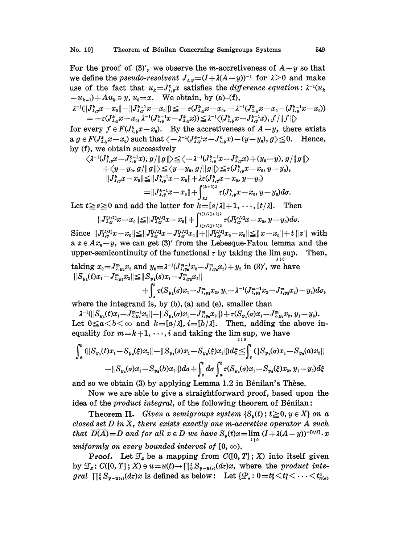For the proof of (3)', we observe the m-accretiveness of  $A-y$  so that we define the *pseudo-resolvent*  $J_{\lambda,y} = (I + \lambda(A-y))^{-1}$  for  $\lambda > 0$  and make<br>use of the fact that  $u_k = J_{\lambda,y}^k x$  satisfies the *difference equation*:  $\lambda^{-1}(u_k)$ use of the fact that  $u_k = J_{\lambda,k}^k x$  satisfies the *difference equation*:  $\lambda^{-1}(u_k)$ 

$$
-u_{k-1}) + Au_k \ni y, u_0 = x.
$$
 We obtain, by (a)–(f),  
\n
$$
\lambda^{-1}(\|J_{\lambda,y}^k x - x_0\| - \|J_{\lambda,y}^{k-1} x - x_0\|) \le -\tau (J_{\lambda,y}^k x - x_0, -\lambda^{-1} (J_{\lambda,y}^k x - x_0 - (J_{\lambda,y}^{k-1} x - x_0))
$$
  
\n
$$
= -\tau (J_{\lambda,y}^k x - x_0, \lambda^{-1} (J_{\lambda,y}^{k-1} x - J_{\lambda,y}^k x)) \le \lambda^{-1} \langle (J_{\lambda,y}^k x - J_{\lambda,y}^{k-1} x), f / \|f\| \rangle
$$

for every  $f \in F(J_{\lambda,y}^k x - x_0)$ . By the accretiveness of  $A-y$ , there exists  $a \, g \in F(J^*_{\lambda,y}x-x_0)$  such that  $\langle -\lambda^{-1}(J^{k-1}_{\lambda,y}x-J^k_{\lambda,y}x)-(y-y_0), g \rangle \leq 0$ . Hence, by  $(f)$ , we obtain successively

$$
\begin{aligned} \langle \lambda^{-1}(J_{\lambda,y}^k x - J_{\lambda,y}^{k-1} x), g/ \Vert g \Vert \rangle & \leq & \langle -\lambda^{-1}(J_{\lambda,y}^{k-1} x - J_{\lambda,y}^{k} x) + (y_0 - y), g/ \Vert g \Vert \rangle \\ & + \langle y - y_0, g/ \Vert g \Vert \rangle \leq & \langle y - y_0, g/ \Vert g \Vert \rangle \leq \tau (J_{\lambda,y}^k x - x_0, y - y_0), \\ \Vert J_{\lambda,y}^k x - x_0 \Vert \leq & \Vert J_{\lambda,y}^{k-1} x - x_0 \Vert + \lambda \tau (J_{\lambda,y}^k x - x_0, y - y_0) \\ & = & \Vert J_{\lambda,y}^{k-1} x - x_0 \Vert + \int_{\lambda}^{(k+1)\lambda} \tau (J_{\lambda,y}^k x - x_0, y - y_0) d\sigma. \end{aligned}
$$

Let  $t \geq s \geq 0$  and add the latter for  $k = [s/\lambda] + 1, \dots, [t/\lambda]$ . Then

$$
||J_{\lambda,y}^{[t/\lambda]}\hat{x}-x_0|| \leq ||J_{\lambda,y}^{[s/\lambda]}\hat{x}-x_0|| + \int_{([s/\lambda]+1)\lambda}^{([t/\lambda]+1)\lambda} \tau(J_{\lambda,y}^{[s/\lambda]}\hat{x}-x_0, y-y_0)d\sigma.
$$

 $\|J^{[t/\lambda]}_{\lambda,y}x-x_0\|\leq \|J^{[t/\lambda]}_{\lambda,y}x-J^{[t/\lambda]}_{\lambda,y}x_0\|+\|J^{[t/\lambda]}_{\lambda,y}x_0-x_0\|\leq \|x-x_0\|+t\,\|z\|\,\, \text{with}\,\,$ a  $z \in Ax_0-y$ , we can get (3)' from the Lebesque-Fatou lemma and the upper-semicontinuity of the functional  $\tau$  by taking the lim sup. Then,

taking 
$$
x_0 = J_{\lambda, y_2}^m x_2
$$
 and  $y_0 = \lambda^{-1} (J_{\lambda, y_2}^{m-1} x_2 - J_{\lambda, y_2}^m x_2) + y_2$  in (3)', we have  
\n
$$
||S_{y_1}(t)x_1 - J_{\lambda, y_2}^m x_2|| \leq ||S_{y_1}(s)x_1 - J_{\lambda, y_2}^m x_2||
$$
\n
$$
+ \int_s^t \tau (S_{y_1}(s)x_1 - J_{\lambda, y_2}^m x_2, y_1 - \lambda^{-1} (J_{\lambda, y_2}^{m-1} x_2 - J_{\lambda, y_2}^m x_2) - y_2) ds,
$$

where the integrand is, by (b), (a) and (e), smaller than

 $\lambda^{-1}(\|{S}_{y_1}(t)x_1 - J_{\lambda,y_2}^{m-1}x_2\| - \|{S}_{y_1}(\sigma)x_1 - J_{\lambda,y_2}^{m}x_2\|) + \tau({S}_{y_1}(\sigma)x_1 - J_{\lambda,y_2}^{m}x_2, y_1 - y_2).$ Let  $0 \le a < b < \infty$  and  $k=[a/\lambda], i=[b/\lambda]$ . Then, adding the above inequality for  $m = k + 1, \dots, i$  and taking the lim sup, we have

$$
\int_a^b (||S_{y_1}(t)x_1 - S_{y_2}(\xi)x_2|| - ||S_{y_1}(s)x_1 - S_{y_2}(\xi)x_2||)d\xi \leq \int_a^t (||S_{y_1}(\sigma)x_1 - S_{y_2}(\sigma)x_2|| - ||S_{y_1}(\sigma)x_1 - S_{y_2}(\sigma)x_2||)d\sigma + \int_a^t d\sigma \int_a^b \tau(S_{y_1}(\sigma)x_1 - S_{y_2}(\xi)x_2, y_1 - y_2)d\xi
$$

and so we obtain (3) by applying Lemma 1.2 in Bénilan's Thèse.

Now we are able to give a straightforward proof, based upon the idea of the *product integral*, of the following theorem of Bénilan:

**Theorem II.** Given a semigroups system  $\{S_n(t)\,;\,t\geq 0, y \in X\}$  on a closed set  $D$  in  $X$ , there exists exactly one m-accretive operator  $A$  such that  $\overline{D(A)} = D$  and for all  $x \in D$  we have  $S_y(t)x = \lim (I + \lambda(A-y))^{-[t/\lambda]} \cdot x$ uniformly on every bounded interval of  $[0, \infty)$ .

**Proof.** Let  $\mathcal{T}_x$  be a mapping from  $C([0, T]; X)$  into itself given by  $\mathcal{T}_x$ :  $C([0, T]; X) \ni u = u(t) \rightarrow \prod_0^t S_{y-u(t)}(d\tau)x$ , where the product integral  $\prod_{i}^{t} S_{y-u_{i}(t)}(d\tau)x$  is defined as below: Let  $\{\mathcal{P}_{\alpha}: 0=t_0^{\alpha} \leq t_1^{\alpha} \leq \cdots \leq t_{n(\alpha)}^{\alpha}\}$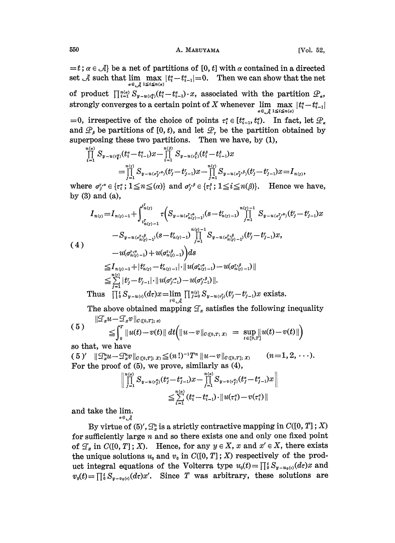$=t; \alpha \in \mathcal{A}$  be a net of partitions of [0, t] with  $\alpha$  contained in a directed set  $\mathcal A$  such that  $\lim_{\alpha \in \mathcal A} \max_{1 \le i \le n(\alpha)} |t_i - t_{i-1}| = 0$ . Then we can show that the net of product  $\prod_{i=1}^{n(a)} S_{y-u_i(x_i)}(t_i - t_{i-1}^a) \cdot x$ , associated with the partition  $\mathcal{P}_a$ , strongly converges to a certain point of X whenever  $\lim_{n \to \infty} \max$  $\alpha \in \mathcal{A}$ =0, irrespective of the choice of points  $\tau_i^{\alpha} \in [t_{i-1}^{\alpha}, t_i^{\alpha}]$ . In fact, let  $\mathcal{P}_{\alpha}$ and  $\mathcal{P}_{\beta}$  be partitions of [0, t), and let  $\mathcal{P}_{r}$  be the partition obtained by superposing these two partitions. Then we have, by (1),

$$
\prod_{i=1}^{n(\alpha)} S_{y-u(\tau_i^{\sigma})}(t_i^{\alpha} - t_{i-1}^{\alpha})x - \prod_{i=1}^{n(\beta)} S_{y-u(\tau_i^{\rho})}(t_i^{\beta} - t_{i-1}^{\beta})x \n= \prod_{j=1}^{n(\tau)} S_{y-u(\sigma_j^{\tau,\sigma})}(t_j^{\tau} - t_{j-1}^{\tau})x - \prod_{j=1}^{n(\tau)} S_{y-u(\sigma_j^{\tau,\beta})}(t_j^{\tau} - t_{j-1}^{\tau})x = I_{n(\tau)},
$$

where  $\sigma_j^{\tau,\alpha} \in {\{\tau_i^{\alpha}\}}; 1 \leq n \leq (\alpha)$  and  $\sigma_j^{\tau,\beta} \in {\{\tau_i^{\beta}\}}; 1 \leq i \leq n(\beta)$ . Hence we have, by (3) and (a),

$$
I_{n(\gamma)} = I_{n(\gamma)-1} + \int_{t_{n(\gamma)-1}}^{t'_{n(\gamma)}} \tau \Big(S_{y-u(\sigma_{n(\gamma)-1}^{1/\alpha})}(s-t'_{n(\gamma)-1}) \prod_{j=1}^{n(\gamma)-1} S_{y-u(\sigma_{j}^{r},s)}(t'_{j}-t'_{j-1})x
$$
  
\n
$$
-S_{y-u(\sigma_{n(\gamma)-1}^{r},s)}(s-t'_{n(\gamma)-1}) \prod_{j=1}^{n(\gamma)-1} S_{y-u(\sigma_{n(\gamma)-1}^{r},s)}(t'_{j}-t'_{j-1})x,
$$
  
\n
$$
-u(\sigma_{n(\gamma)-1}^{r,\alpha}) + u(\sigma_{n(\gamma)-1}^{r,\beta}) \Big) ds
$$
  
\n
$$
\leq I_{n(\gamma)-1} + |t'_{n(\gamma)} - t'_{n(\gamma)-1}| \cdot ||u(\sigma_{n(\gamma)-1}^{r,\alpha}) - u(\sigma_{n(\gamma)-1}^{r,\beta})||
$$
  
\n
$$
\leq \sum_{j=1}^{n(\gamma)} |t'_{j}-t'_{j-1}| \cdot ||u(\sigma_{j-1}^{r,\alpha}) - u(\sigma_{j-1}^{r,\beta})||.
$$
  
\nThus  $\prod_{j=0}^{n} S_{y-u(\gamma)}(d\tau)x = \lim_{\tau \in \mathcal{A}} \prod_{j=0}^{n(\gamma)} S_{y-u(\tau_{j}^{r},s)}(t'_{j}-t'_{j-1})x \text{ exists.}$ 

The above obtained mapping  $\mathcal{T}_x$  satisfies the following inequality  $\|\mathcal{F}_x u - \mathcal{F}_x v\|_{G(\lceil 0,T]\times\mathbb{R})}$ 

$$
\begin{array}{lll} (5) & \leq & \int_0^T \|u(t)-v(t)\| \, dt \Big( \|u-v\|_{C([0,T];\,X)} \; = \; \sup_{t\in[0,T]} \|u(t)-v(t)\| \Big) \end{array}
$$

so that, we have

( 5 )'  $\|\mathcal{Q}_{x}^{n}u-\mathcal{Q}_{x}^{n}v\|_{C([0,T]; X)} \leq (n!)^{-1}T^{n} \|u-v\|_{C([0,T]; X)}$  (n=1, 2, ...). For the proof of (5), we prove, similarly as (4),

$$
\begin{aligned}\n\left| \prod_{j=1}^{n(\alpha)} S_{y-u(\tau_j^{\sigma})}(t_j^{\sigma}\!-\!t_{j-1}^{\sigma})x \!-\! \prod_{j=1}^{n(\alpha)} S_{y-v(\tau_j^{\sigma})}(t_j^{\sigma}\!-\!t_{j-1}^{\sigma})x \right| \\
\leq & \sum_{i=1}^{n(\alpha)} (t_i^{\sigma}\!-\!t_{i-1}^{\sigma}) \cdot \| u(\tau_i^{\sigma}) \!-\! v(\tau_i^{\sigma}) \|\n\end{aligned}
$$

and take the lim.  $\alpha \in$ ,  $\Box$ 

By virtue of  $(5)$ ,  $\mathcal{F}_x^n$  is a strictly contractive mapping in  $C([0, T]; X)$ for sufficiently large  $n$  and so there exists one and only one fixed point of  $\mathcal{T}_x$  in  $C([0, T]; X)$ . Hence, for any  $y \in X$ , x and  $x' \in X$ , there exists the unique solutions  $u_0$  and  $v_0$  in  $C([0, T]; X)$  respectively of the product integral equations of the Volterra type  $u_0(t) = \prod_{i=0}^{t} S_{y-u_0(i)}(dx) x$  and  $v_0(t) = \prod_{i=0}^{t} S_{y-y_0(t)}(d\tau)x'.$  Since T was arbitrary, these solutions are